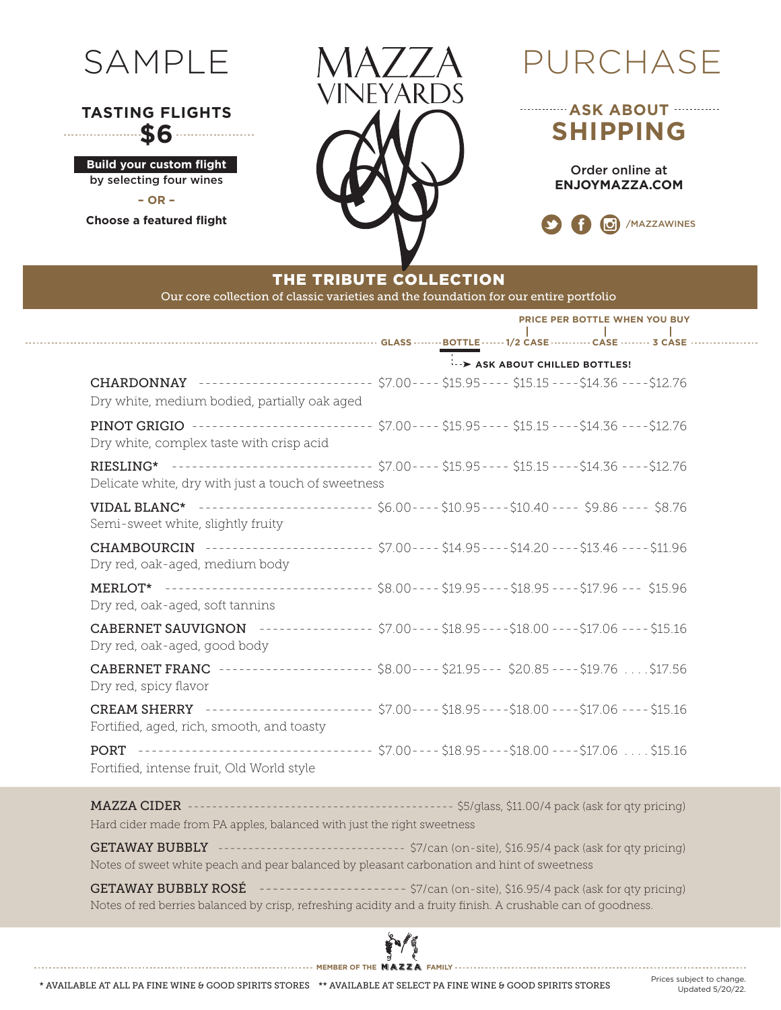

## **TASTING FLIGHTS \$6**

**Build your custom flight** by selecting four wines **– OR –**

**Choose a featured flight**

. . . . . . . . . . . . . .



# **ASK ABOUT SHIPPING**

Order online at **ENJOYMAZZA.COM**



## THE TRIBUTE COLLECTION

Our core collection of classic varieties and the foundation for our entire portfolio

|                                                                                                                                                      |                            | PRICE PER BOTTLE WHEN YOU BUY |  |  |  |  |  |  |  |  |
|------------------------------------------------------------------------------------------------------------------------------------------------------|----------------------------|-------------------------------|--|--|--|--|--|--|--|--|
|                                                                                                                                                      | ASK ABOUT CHILLED BOTTLES! |                               |  |  |  |  |  |  |  |  |
| CHARDONNAY ------------------------ \$7.00---- \$15.95---- \$15.15---- \$14.36 ---- \$12.76<br>Dry white, medium bodied, partially oak aged          |                            |                               |  |  |  |  |  |  |  |  |
| PINOT GRIGIO -------------------------- \$7.00---- \$15.95---- \$15.15---- \$14.36 ---- \$12.76<br>Dry white, complex taste with crisp acid          |                            |                               |  |  |  |  |  |  |  |  |
| RIESLING* ------------------------------ \$7.00---- \$15.95---- \$15.15----\$14.36 ----\$12.76<br>Delicate white, dry with just a touch of sweetness |                            |                               |  |  |  |  |  |  |  |  |
| VIDAL BLANC* ------------------------- \$6.00---- \$10.95---- \$10.40 ---- \$9.86 ---- \$8.76<br>Semi-sweet white, slightly fruity                   |                            |                               |  |  |  |  |  |  |  |  |
| CHAMBOURCIN ----------------------- \$7.00---- \$14.95---- \$14.20 ---- \$13.46 ---- \$11.96<br>Dry red, oak-aged, medium body                       |                            |                               |  |  |  |  |  |  |  |  |
| MERLOT* ----------------------------- \$8.00---- \$19.95---- \$18.95 ---- \$17.96 --- \$15.96<br>Dry red, oak-aged, soft tannins                     |                            |                               |  |  |  |  |  |  |  |  |
| CABERNET SAUVIGNON --------------- \$7.00---- \$18.95---- \$18.00 ---- \$17.06 ---- \$15.16<br>Dry red, oak-aged, good body                          |                            |                               |  |  |  |  |  |  |  |  |
| <b>CABERNET FRANC</b> --------------------- \$8.00---- \$21.95--- \$20.85---- \$19.76  \$17.56<br>Dry red, spicy flavor                              |                            |                               |  |  |  |  |  |  |  |  |
| CREAM SHERRY ---------------------- \$7.00---- \$18.95----\$18.00 ---- \$17.06 ---- \$15.16<br>Fortified, aged, rich, smooth, and toasty             |                            |                               |  |  |  |  |  |  |  |  |
| PORT ---------------------------------- \$7.00---- \$18.95----\$18.00 ----\$17.06  \$15.16<br>Fortified, intense fruit, Old World style              |                            |                               |  |  |  |  |  |  |  |  |

MAZZA CIDER -------------------------------------------- \$5/glass, \$11.00/4 pack (ask for qty pricing) Hard cider made from PA apples, balanced with just the right sweetness

GETAWAY BUBBLY --------------------------------- \$7/can (on-site), \$16.95/4 pack (ask for qty pricing) Notes of sweet white peach and pear balanced by pleasant carbonation and hint of sweetness

GETAWAY BUBBLY ROSÉ --------------------- \$7/can (on-site), \$16.95/4 pack (ask for qty pricing) Notes of red berries balanced by crisp, refreshing acidity and a fruity finish. A crushable can of goodness.



\* AVAILABLE AT ALL PA FINE WINE & GOOD SPIRITS STORES \*\* AVAILABLE AT SELECT PA FINE WINE & GOOD SPIRITS STORES Prices subject to change.